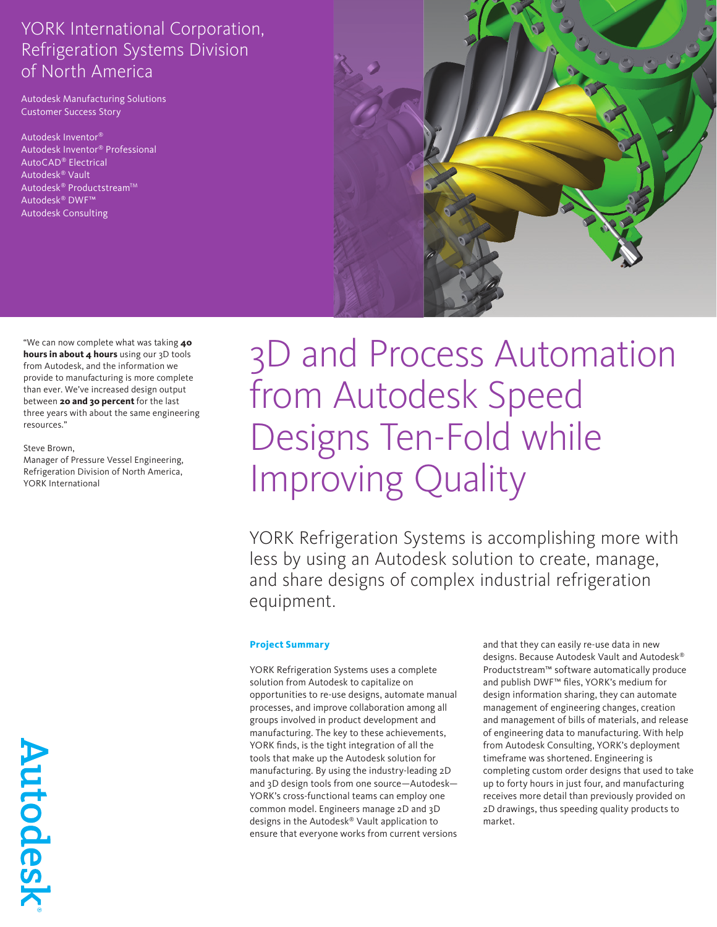Autodesk Manufacturing Solutions Customer Success Story

Autodesk Inventor® Autodesk Inventor® Professional AutoCAD® Electrical Autodesk® Vault Autodesk<sup>®</sup> Productstream™ Autodesk® DWF™ Autodesk Consulting



"We can now complete what was taking **40 hours in about 4 hours** using our 3D tools from Autodesk, and the information we provide to manufacturing is more complete than ever. We've increased design output between **20 and 30 percent** for the last three years with about the same engineering resources."

#### Steve Brown,

Manager of Pressure Vessel Engineering, Refrigeration Division of North America, YORK International

# 3D and Process Automation from Autodesk Speed Designs Ten-Fold while Improving Quality

YORK Refrigeration Systems is accomplishing more with less by using an Autodesk solution to create, manage, and share designs of complex industrial refrigeration equipment.

#### **Project Summary**

YORK Refrigeration Systems uses a complete solution from Autodesk to capitalize on opportunities to re-use designs, automate manual processes, and improve collaboration among all groups involved in product development and manufacturing. The key to these achievements, YORK finds, is the tight integration of all the tools that make up the Autodesk solution for manufacturing. By using the industry-leading 2D and 3D design tools from one source—Autodesk— YORK's cross-functional teams can employ one common model. Engineers manage 2D and 3D designs in the Autodesk® Vault application to ensure that everyone works from current versions and that they can easily re-use data in new designs. Because Autodesk Vault and Autodesk® Productstream™ software automatically produce and publish DWF™ files, YORK's medium for design information sharing, they can automate management of engineering changes, creation and management of bills of materials, and release of engineering data to manufacturing. With help from Autodesk Consulting, YORK's deployment timeframe was shortened. Engineering is completing custom order designs that used to take up to forty hours in just four, and manufacturing receives more detail than previously provided on 2D drawings, thus speeding quality products to market.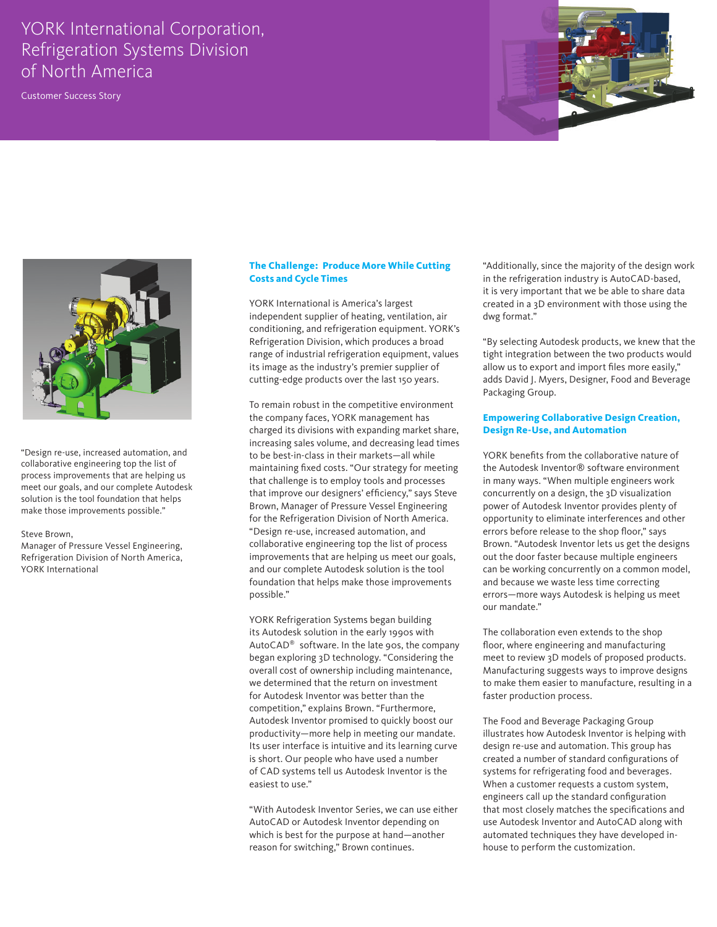Customer Success Story





"Design re-use, increased automation, and collaborative engineering top the list of process improvements that are helping us meet our goals, and our complete Autodesk solution is the tool foundation that helps make those improvements possible."

#### Steve Brown,

Manager of Pressure Vessel Engineering, Refrigeration Division of North America, YORK International

#### **The Challenge: Produce More While Cutting Costs and Cycle Times**

YORK International is America's largest independent supplier of heating, ventilation, air conditioning, and refrigeration equipment. YORK's Refrigeration Division, which produces a broad range of industrial refrigeration equipment, values its image as the industry's premier supplier of cutting-edge products over the last 150 years.

To remain robust in the competitive environment the company faces, YORK management has charged its divisions with expanding market share, increasing sales volume, and decreasing lead times to be best-in-class in their markets—all while maintaining fixed costs. "Our strategy for meeting that challenge is to employ tools and processes that improve our designers' efficiency," says Steve Brown, Manager of Pressure Vessel Engineering for the Refrigeration Division of North America. "Design re-use, increased automation, and collaborative engineering top the list of process improvements that are helping us meet our goals, and our complete Autodesk solution is the tool foundation that helps make those improvements possible."

YORK Refrigeration Systems began building its Autodesk solution in the early 1990s with AutoCAD® software. In the late 90s, the company began exploring 3D technology. "Considering the overall cost of ownership including maintenance, we determined that the return on investment for Autodesk Inventor was better than the competition," explains Brown. "Furthermore, Autodesk Inventor promised to quickly boost our productivity—more help in meeting our mandate. Its user interface is intuitive and its learning curve is short. Our people who have used a number of CAD systems tell us Autodesk Inventor is the easiest to use."

"With Autodesk Inventor Series, we can use either AutoCAD or Autodesk Inventor depending on which is best for the purpose at hand—another reason for switching," Brown continues.

"Additionally, since the majority of the design work in the refrigeration industry is AutoCAD-based, it is very important that we be able to share data created in a 3D environment with those using the dwg format."

"By selecting Autodesk products, we knew that the tight integration between the two products would allow us to export and import files more easily," adds David J. Myers, Designer, Food and Beverage Packaging Group.

#### **Empowering Collaborative Design Creation, Design Re-Use, and Automation**

YORK benefits from the collaborative nature of the Autodesk Inventor® software environment in many ways. "When multiple engineers work concurrently on a design, the 3D visualization power of Autodesk Inventor provides plenty of opportunity to eliminate interferences and other errors before release to the shop floor," says Brown. "Autodesk Inventor lets us get the designs out the door faster because multiple engineers can be working concurrently on a common model, and because we waste less time correcting errors—more ways Autodesk is helping us meet our mandate."

The collaboration even extends to the shop floor, where engineering and manufacturing meet to review 3D models of proposed products. Manufacturing suggests ways to improve designs to make them easier to manufacture, resulting in a faster production process.

The Food and Beverage Packaging Group illustrates how Autodesk Inventor is helping with design re-use and automation. This group has created a number of standard configurations of systems for refrigerating food and beverages. When a customer requests a custom system, engineers call up the standard configuration that most closely matches the specifications and use Autodesk Inventor and AutoCAD along with automated techniques they have developed inhouse to perform the customization.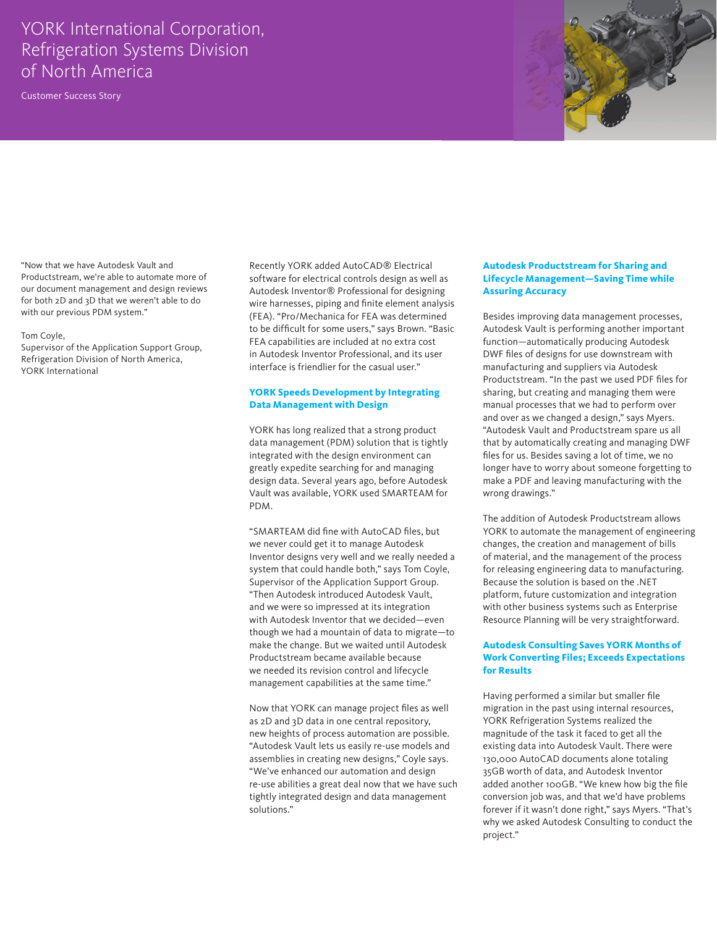Customer Success Story



"Now that we have Autodesk Vault and Productstream, we're able to automate more of our document management and design reviews for both 2D and 3D that we weren't able to do with our previous PDM system."

#### Tom Coyle,

Supervisor of the Application Support Group, Refrigeration Division of North America, YORK International

Recently YORK added AutoCAD® Electrical software for electrical controls design as well as Autodesk Inventor® Professional for designing wire harnesses, piping and finite element analysis (FEA). "Pro/Mechanica for FEA was determined to be difficult for some users," says Brown. "Basic FEA capabilities are included at no extra cost in Autodesk Inventor Professional, and its user interface is friendlier for the casual user."

#### **YORK Speeds Development by Integrating Data Management with Design**

YORK has long realized that a strong product data management (PDM) solution that is tightly integrated with the design environment can greatly expedite searching for and managing design data. Several years ago, before Autodesk Vault was available, YORK used SMARTEAM for PDM.

"SMARTEAM did fine with AutoCAD files, but we never could get it to manage Autodesk Inventor designs very well and we really needed a system that could handle both," says Tom Coyle, Supervisor of the Application Support Group. "Then Autodesk introduced Autodesk Vault, and we were so impressed at its integration with Autodesk Inventor that we decided—even though we had a mountain of data to migrate—to make the change. But we waited until Autodesk Productstream became available because we needed its revision control and lifecycle management capabilities at the same time."

Now that YORK can manage project files as well as 2D and 3D data in one central repository, new heights of process automation are possible. "Autodesk Vault lets us easily re-use models and assemblies in creating new designs," Coyle says. "We've enhanced our automation and design re-use abilities a great deal now that we have such tightly integrated design and data management solutions."

#### **Autodesk Productstream for Sharing and Lifecycle Management—Saving Time while Assuring Accuracy**

Besides improving data management processes, Autodesk Vault is performing another important function—automatically producing Autodesk DWF files of designs for use downstream with manufacturing and suppliers via Autodesk Productstream. "In the past we used PDF files for sharing, but creating and managing them were manual processes that we had to perform over and over as we changed a design," says Myers. "Autodesk Vault and Productstream spare us all that by automatically creating and managing DWF files for us. Besides saving a lot of time, we no longer have to worry about someone forgetting to make a PDF and leaving manufacturing with the wrong drawings."

The addition of Autodesk Productstream allows YORK to automate the management of engineering changes, the creation and management of bills of material, and the management of the process for releasing engineering data to manufacturing. Because the solution is based on the .NET platform, future customization and integration with other business systems such as Enterprise Resource Planning will be very straightforward.

#### **Autodesk Consulting Saves YORK Months of Work Converting Files; Exceeds Expectations for Results**

Having performed a similar but smaller file migration in the past using internal resources, YORK Refrigeration Systems realized the magnitude of the task it faced to get all the existing data into Autodesk Vault. There were 130,000 AutoCAD documents alone totaling 35GB worth of data, and Autodesk Inventor added another 100GB. "We knew how big the file conversion job was, and that we'd have problems forever if it wasn't done right," says Myers. "That's why we asked Autodesk Consulting to conduct the project."